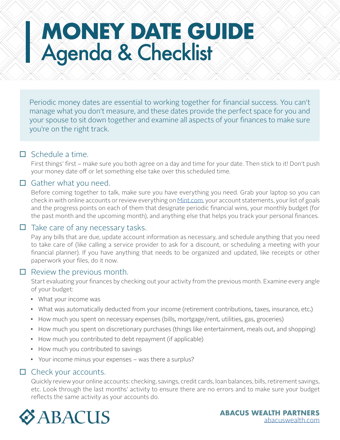# **MONEY DATE GUIDE** Agenda & Checklist

Periodic money dates are essential to working together for financial success. You can't manage what you don't measure, and these dates provide the perfect space for you and your spouse to sit down together and examine all aspects of your finances to make sure you're on the right track.

#### $\Box$  Schedule a time.

First things' first – make sure you both agree on a day and time for your date. Then stick to it! Don't push your money date off or let something else take over this scheduled time.

#### $\Box$  Gather what you need.

Before coming together to talk, make sure you have everything you need. Grab your laptop so you can check in with online accounts or review everything on [Mint.com,](http://Mint.com) your account statements, your list of goals and the progress points on each of them that designate periodic financial wins, your monthly budget (for the past month and the upcoming month), and anything else that helps you track your personal finances.

#### $\Box$  Take care of any necessary tasks.

Pay any bills that are due, update account information as necessary, and schedule anything that you need to take care of (like calling a service provider to ask for a discount, or scheduling a meeting with your financial planner). If you have anything that needs to be organized and updated, like receipts or other paperwork your files, do it now.

#### $\Box$  Review the previous month.

Start evaluating your finances by checking out your activity from the previous month. Examine every angle of your budget:

- What your income was
- What was automatically deducted from your income (retirement contributions, taxes, insurance, etc.)
- How much you spent on necessary expenses (bills, mortgage/rent, utilities, gas, groceries)
- How much you spent on discretionary purchases (things like entertainment, meals out, and shopping)
- How much you contributed to debt repayment (if applicable)
- How much you contributed to savings
- Your income minus your expenses was there a surplus?

#### $\Box$  Check your accounts.

Quickly review your online accounts: checking, savings, credit cards, loan balances, bills, retirement savings, etc. Look through the last months' activity to ensure there are no errors and to make sure your budget reflects the same activity as your accounts do.

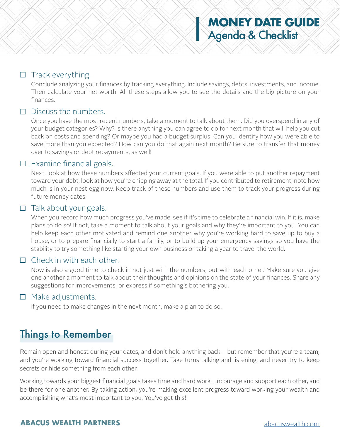## **MONEY DATE GUIDE** Agenda & Checklist

#### $\Box$  Track everything.

Conclude analyzing your finances by tracking everything. Include savings, debts, investments, and income. Then calculate your net worth. All these steps allow you to see the details and the big picture on your finances.

#### $\Box$  Discuss the numbers.

Once you have the most recent numbers, take a moment to talk about them. Did you overspend in any of your budget categories? Why? Is there anything you can agree to do for next month that will help you cut back on costs and spending? Or maybe you had a budget surplus. Can you identify how you were able to save more than you expected? How can you do that again next month? Be sure to transfer that money over to savings or debt repayments, as well!

#### $\Box$  Examine financial goals.

Next, look at how these numbers affected your current goals. If you were able to put another repayment toward your debt, look at how you're chipping away at the total. If you contributed to retirement, note how much is in your nest egg now. Keep track of these numbers and use them to track your progress during future money dates.

#### $\Box$  Talk about your goals.

When you record how much progress you've made, see if it's time to celebrate a financial win. If it is, make plans to do so! If not, take a moment to talk about your goals and why they're important to you. You can help keep each other motivated and remind one another why you're working hard to save up to buy a house, or to prepare financially to start a family, or to build up your emergency savings so you have the stability to try something like starting your own business or taking a year to travel the world.

### $\Box$  Check in with each other.

Now is also a good time to check in not just with the numbers, but with each other. Make sure you give one another a moment to talk about their thoughts and opinions on the state of your finances. Share any suggestions for improvements, or express if something's bothering you.

#### $\Box$  Make adjustments.

If you need to make changes in the next month, make a plan to do so.

## Things to Remember

Remain open and honest during your dates, and don't hold anything back – but remember that you're a team, and you're working toward financial success together. Take turns talking and listening, and never try to keep secrets or hide something from each other.

Working towards your biggest financial goals takes time and hard work. Encourage and support each other, and be there for one another. By taking action, you're making excellent progress toward working your wealth and accomplishing what's most important to you. You've got this!

#### **ABACUS WEALTH PARTNERS** [abacuswealth.com](http://www.abacuswealth.com)